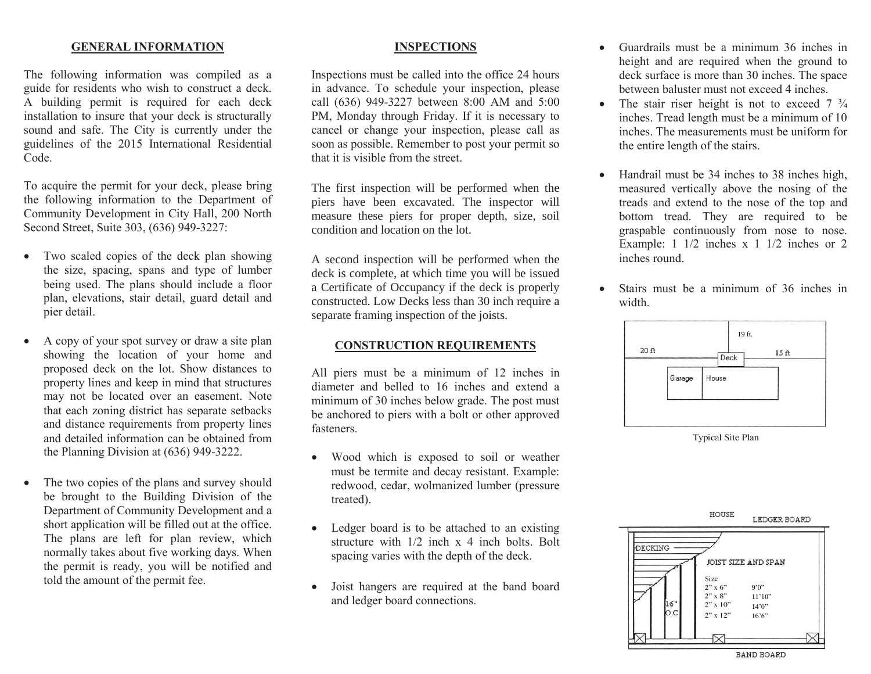## **GENERAL INFORMATION**

The following information was compiled as a guide for residents who wish to construct a deck. A building permit is required for each deck installation to insure that your deck is structurally sound and safe. The City is currently under the guidelines of the 2015 International Residential Code.

To acquire the permit for your deck, please bring the following information to the Department of Community Development in City Hall, 200 North Second Street, Suite 303, (636) 949-3227:

- Two scaled copies of the deck plan showing the size, spacing, spans and type of lumber being used. The plans should include a floor plan, elevations, stair detail, guard detail and pier detail.
- A copy of your spot survey or draw a site plan showing the location of your home and proposed deck on the lot. Show distances to property lines and keep in mind that structures may not be located over an easement. Note that each zoning district has separate setbacks and distance requirements from property lines and detailed information can be obtained from the Planning Division at (636) 949-3222.
- The two copies of the plans and survey should be brought to the Building Division of the Department of Community Development and a short application will be filled out at the office. The plans are left for plan review, which normally takes about five working days. When the permit is ready, you will be notified and told the amount of the permit fee.

## **INSPECTIONS**

Inspections must be called into the office 24 hours in advance. To schedule your inspection, please call (636) 949-3227 between 8:00 AM and 5:00 PM, Monday through Friday. If it is necessary to cancel or change your inspection, please call as soon as possible. Remember to post your permit so that it is visible from the street.

The first inspection will be performed when the piers have been excavated. The inspector will measure these piers for proper depth, size, soil condition and location on the lot.

A second inspection will be performed when the deck is complete, at which time you will be issued a Certificate of Occupancy if the deck is properly constructed. Low Decks less than 30 inch require a separate framing inspection of the joists.

## **CONSTRUCTION REQUIREMENTS**

All piers must be a minimum of 12 inches in diameter and belled to 16 inches and extend a minimum of 30 inches below grade. The post must be anchored to piers with a bolt or other approved fasteners.

- Wood which is exposed to soil or weather must be termite and decay resistant. Example: redwood, cedar, wolmanized lumber (pressure treated).
- Ledger board is to be attached to an existing structure with 1/2 inch x 4 inch bolts. Bolt spacing varies with the depth of the deck.
- Joist hangers are required at the band board and ledger board connections.
- Guardrails must be a minimum 36 inches in height and are required when the ground to deck surface is more than 30 inches. The space between baluster must not exceed 4 inches.
- The stair riser height is not to exceed  $7\frac{3}{4}$ inches. Tread length must be a minimum of 10 inches. The measurements must be uniform for the entire length of the stairs.
- Handrail must be 34 inches to 38 inches high, measured vertically above the nosing of the treads and extend to the nose of the top and bottom tread. They are required to be graspable continuously from nose to nose. Example: 1 1/2 inches x 1 1/2 inches or 2 inches round.
- Stairs must be a minimum of 36 inches in width.



**Typical Site Plan** 

HOUSE LEDGER BOARD DECKING -JOIST SIZE AND SPAN Size  $2" \times 6"$ 9'0"  $2" \times 8"$  $11'10"$ 16"  $2" \times 10"$  $14'0''$ Ю.С  $2" \times 12"$ 16'6"

**BAND BOARD**